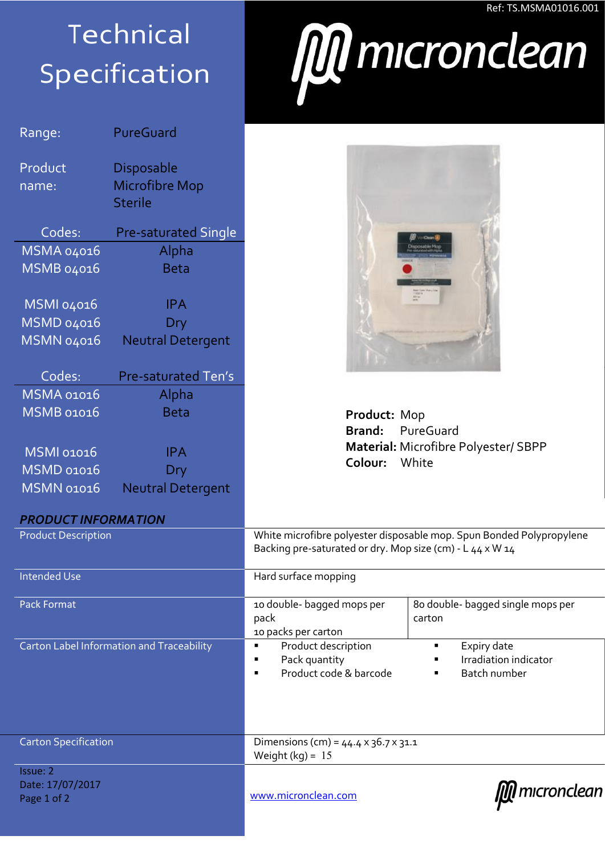## **Technical** Specification

| Range:                                    | PureGuard                   |  |  |
|-------------------------------------------|-----------------------------|--|--|
| Product                                   | <b>Disposable</b>           |  |  |
| name:                                     | <b>Microfibre Mop</b>       |  |  |
|                                           | <b>Sterile</b>              |  |  |
| Codes:                                    | <b>Pre-saturated Single</b> |  |  |
| MSMA 04016                                | Alpha                       |  |  |
| MSMB 04016                                | <b>Beta</b>                 |  |  |
| <b>MSMI 04016</b>                         | <b>IPA</b>                  |  |  |
| <b>MSMD 04016</b>                         | Dry                         |  |  |
| <b>MSMN 04016</b>                         | <b>Neutral Detergent</b>    |  |  |
| Codes:                                    | Pre-saturated Ten's         |  |  |
| <b>MSMA 01016</b>                         | Alpha                       |  |  |
| <b>MSMB 01016</b>                         | <b>Beta</b>                 |  |  |
| <b>MSMI 01016</b>                         | <b>IPA</b>                  |  |  |
| <b>MSMD 01016</b>                         | Dry                         |  |  |
| <b>MSMN 01016</b>                         | <b>Neutral Detergent</b>    |  |  |
|                                           |                             |  |  |
| <b>PRODUCT INFORMATION</b>                |                             |  |  |
| <b>Product Description</b>                |                             |  |  |
| <b>Intended Use</b>                       |                             |  |  |
| <b>Pack Format</b>                        |                             |  |  |
|                                           |                             |  |  |
| Carton Label Information and Traceability |                             |  |  |
|                                           |                             |  |  |
|                                           |                             |  |  |
|                                           |                             |  |  |
|                                           |                             |  |  |
| <b>Carton Specification</b>               |                             |  |  |

## Ref: TS.MSMA01016.001



| Product: Mop  |                                             |
|---------------|---------------------------------------------|
|               | <b>Brand:</b> PureGuard                     |
|               | <b>Material:</b> Microfibre Polyester/ SBPP |
| Colour: White |                                             |
|               |                                             |

| FRUDULI INFURMATIUN                         |                                                                                                                                   |                                                      |
|---------------------------------------------|-----------------------------------------------------------------------------------------------------------------------------------|------------------------------------------------------|
| <b>Product Description</b>                  | White microfibre polyester disposable mop. Spun Bonded Polypropylene<br>Backing pre-saturated or dry. Mop size (cm) - L 44 x W 14 |                                                      |
| <b>Intended Use</b>                         | Hard surface mopping                                                                                                              |                                                      |
| <b>Pack Format</b>                          | 10 double- bagged mops per<br>pack<br>10 packs per carton                                                                         | 80 double- bagged single mops per<br>carton          |
| Carton Label Information and Traceability   | Product description<br>Pack quantity<br>п<br>Product code & barcode                                                               | Expiry date<br>Irradiation indicator<br>Batch number |
| <b>Carton Specification</b>                 | Dimensions (cm) = $44.4 \times 36.7 \times 31.1$<br>Weight $(kq) = 15$                                                            |                                                      |
| Issue: 2<br>Date: 17/07/2017<br>Page 1 of 2 | www.micronclean.com                                                                                                               | mıcronclean                                          |